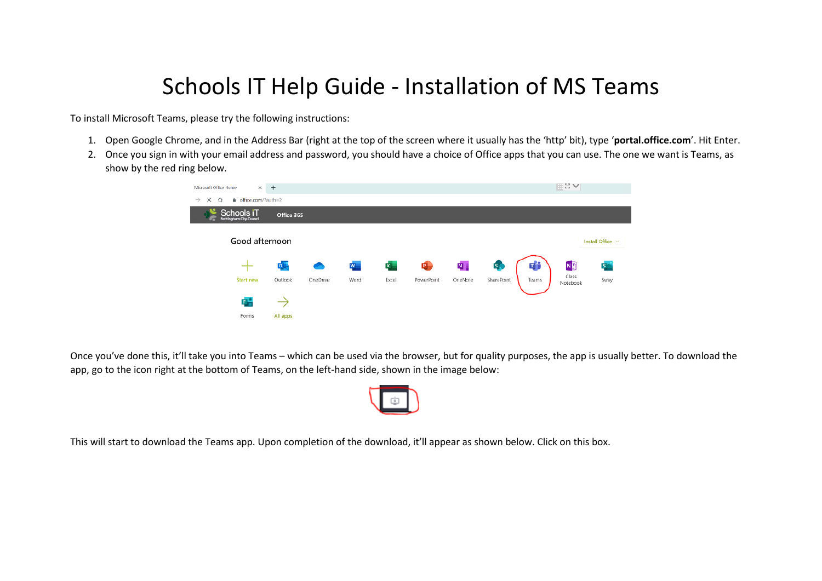## Schools IT Help Guide - Installation of MS Teams

To install Microsoft Teams, please try the following instructions:

- 1. Open Google Chrome, and in the Address Bar (right at the top of the screen where it usually has the 'http' bit), type '**portal.office.com**'. Hit Enter.
- 2. Once you sign in with your email address and password, you should have a choice of Office apps that you can use. The one we want is Teams, as show by the red ring below.



Once you've done this, it'll take you into Teams – which can be used via the browser, but for quality purposes, the app is usually better. To download the app, go to the icon right at the bottom of Teams, on the left-hand side, shown in the image below:



This will start to download the Teams app. Upon completion of the download, it'll appear as shown below. Click on this box.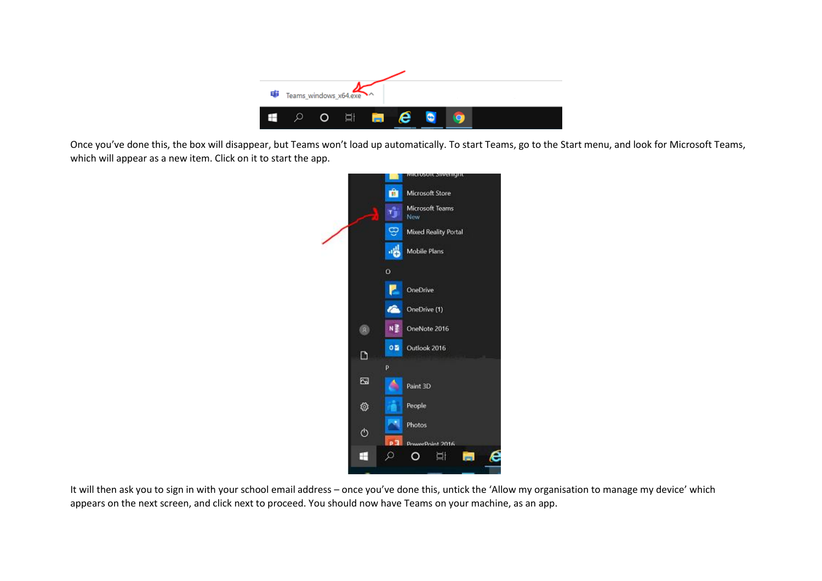

Once you've done this, the box will disappear, but Teams won't load up automatically. To start Teams, go to the Start menu, and look for Microsoft Teams, which will appear as a new item. Click on it to start the app.



It will then ask you to sign in with your school email address – once you've done this, untick the 'Allow my organisation to manage my device' which appears on the next screen, and click next to proceed. You should now have Teams on your machine, as an app.